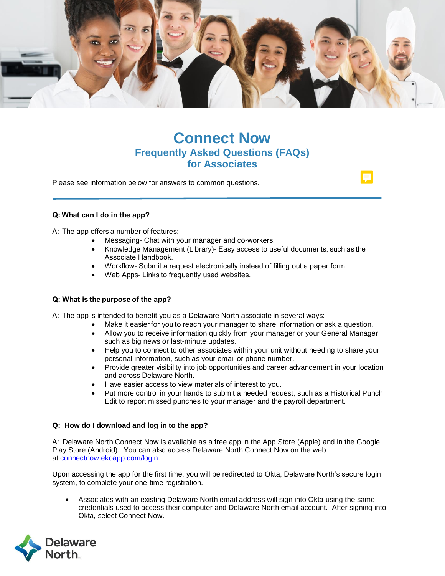

# **Connect Now Frequently Asked Questions (FAQs) for Associates**

Please see information below for answers to common questions.

# **Q: What can I do in the app?**

A:  The app offers a number of features: 

- Messaging- Chat with your manager and co-workers.
- Knowledge Management (Library)- Easy access to useful documents, such as the Associate Handbook.
- Workflow- Submit a request electronically instead of filling out a paper form.
- Web Apps- Links to frequently used websites.

# **Q: What is the purpose of the app?**

A:  The app is intended to benefit you as a Delaware North associate in several ways: 

- Make it easier for you to reach your manager to share information or ask a question.
- Allow you to receive information quickly from your manager or your General Manager, such as big news or last-minute updates.
- Help you to connect to other associates within your unit without needing to share your personal information, such as your email or phone number.
- Provide greater visibility into job opportunities and career advancement in your location and across Delaware North.
- Have easier access to view materials of interest to you.
- Put more control in your hands to submit a needed request, such as a Historical Punch Edit to report missed punches to your manager and the payroll department.

# **Q: How do I download and log in to the app?**

A:  Delaware North Connect Now is available as a free app in the App Store (Apple) and in the Google Play Store (Android). You can also access Delaware North Connect Now on the web at [connectnow.ekoapp.com/login.](https://urldefense.proofpoint.com/v2/url?u=http-3A__connectnow.ekoapp.com_login&d=DwMCaQ&c=sGNU35hpaThx_QCH3TFUZ7PGbANQOzTm5gsvX_HslRc&r=_hNUZv32MkHg2AmadvW2N-muop_GlQ968QsYuIFmyJw&m=yYNsoIDFiNHyiUoDgXdfHEIyTp2exa9Nf5-Fxg0LulE&s=58atqr_E_-cUun9KH3DOR_jYEO9WZSZi70vuoCOEDxQ&e=)

Upon accessing the app for the first time, you will be redirected to Okta, Delaware North's secure login system, to complete your one-time registration.

• Associates with an existing Delaware North email address will sign into Okta using the same credentials used to access their computer and Delaware North email account. After signing into Okta, select Connect Now.

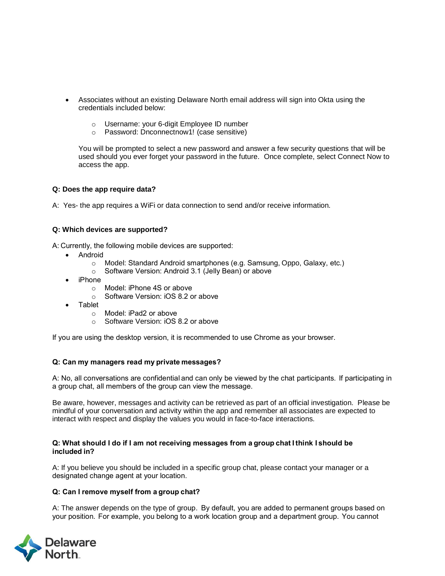- Associates without an existing Delaware North email address will sign into Okta using the credentials included below:
	- o Username: your 6-digit Employee ID number
	- o Password: Dnconnectnow1! (case sensitive)

You will be prompted to select a new password and answer a few security questions that will be used should you ever forget your password in the future. Once complete, select Connect Now to access the app.

#### **Q: Does the app require data?**

A: Yes- the app requires a WiFi or data connection to send and/or receive information.

#### **Q: Which devices are supported?**

A: Currently, the following mobile devices are supported: 

- Android
	- o Model: Standard Android smartphones (e.g. Samsung, Oppo, Galaxy, etc.)
	- o Software Version: Android 3.1 (Jelly Bean) or above
- iPhone
	- o Model: iPhone 4S or above
	- o Software Version: iOS 8.2 or above
- Tablet
	- o Model: iPad2 or above
	- o Software Version: iOS 8.2 or above

If you are using the desktop version, it is recommended to use Chrome as your browser.   

#### **Q: Can my managers read my private messages?**

A: No, all conversations are confidential and can only be viewed by the chat participants.  If participating in a group chat, all members of the group can view the message. 

Be aware, however, messages and activity can be retrieved as part of an official investigation. Please be mindful of your conversation and activity within the app and remember all associates are expected to interact with respect and display the values you would in face-to-face interactions.

#### **Q: What should I do if I am not receiving messages from a group chat I think I should be included in?**

A: If you believe you should be included in a specific group chat, please contact your manager or a designated change agent at your location.   

#### **Q: Can I remove myself from a group chat?**

A: The answer depends on the type of group.  By default, you are added to permanent groups based on your position.  For example, you belong to a work location group and a department group.  You cannot